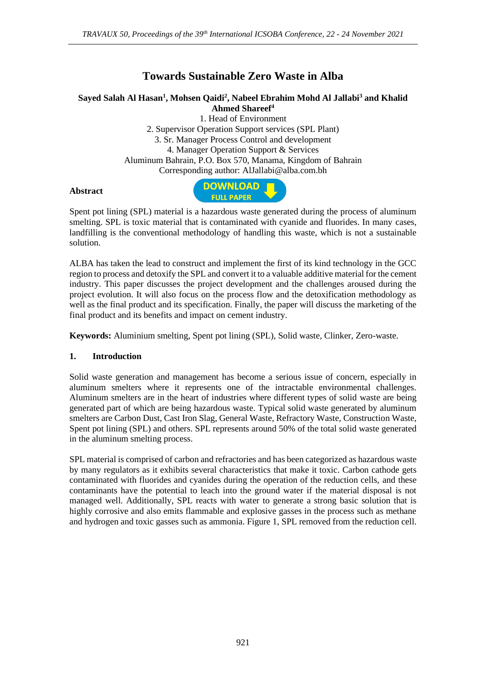# **Towards Sustainable Zero Waste in Alba**

## **Sayed Salah Al Hasan<sup>1</sup> , Mohsen Qaidi<sup>2</sup> , Nabeel Ebrahim Mohd Al Jallabi<sup>3</sup> and Khalid Ahmed Shareef<sup>4</sup>**

1. Head of Environment 2. Supervisor Operation Support services (SPL Plant) 3. Sr. Manager Process Control and development 4. Manager Operation Support & Services Aluminum Bahrain, P.O. Box 570, Manama, Kingdom of Bahrain Corresponding author: AlJallabi@alba.com.bh

#### **Abstract**



Spent pot lining (SPL) material is a hazardous waste generated during the process of aluminum smelting. SPL is toxic material that is contaminated with cyanide and fluorides. In many cases, landfilling is the conventional methodology of handling this waste, which is not a sustainable solution.

ALBA has taken the lead to construct and implement the first of its kind technology in the GCC region to process and detoxify the SPL and convert it to a valuable additive material for the cement industry. This paper discusses the project development and the challenges aroused during the project evolution. It will also focus on the process flow and the detoxification methodology as well as the final product and its specification. Finally, the paper will discuss the marketing of the final product and its benefits and impact on cement industry.

**Keywords:** Aluminium smelting, Spent pot lining (SPL), Solid waste, Clinker, Zero-waste.

### **1. Introduction**

Solid waste generation and management has become a serious issue of concern, especially in aluminum smelters where it represents one of the intractable environmental challenges. Aluminum smelters are in the heart of industries where different types of solid waste are being generated part of which are being hazardous waste. Typical solid waste generated by aluminum smelters are Carbon Dust, Cast Iron Slag, General Waste, Refractory Waste, Construction Waste, Spent pot lining (SPL) and others. SPL represents around 50% of the total solid waste generated in the aluminum smelting process.

SPL material is comprised of carbon and refractories and has been categorized as hazardous waste by many regulators as it exhibits several characteristics that make it toxic. Carbon cathode gets contaminated with fluorides and cyanides during the operation of the reduction cells, and these contaminants have the potential to leach into the ground water if the material disposal is not managed well. Additionally, SPL reacts with water to generate a strong basic solution that is highly corrosive and also emits flammable and explosive gasses in the process such as methane and hydrogen and toxic gasses such as ammonia. Figure 1, SPL removed from the reduction cell.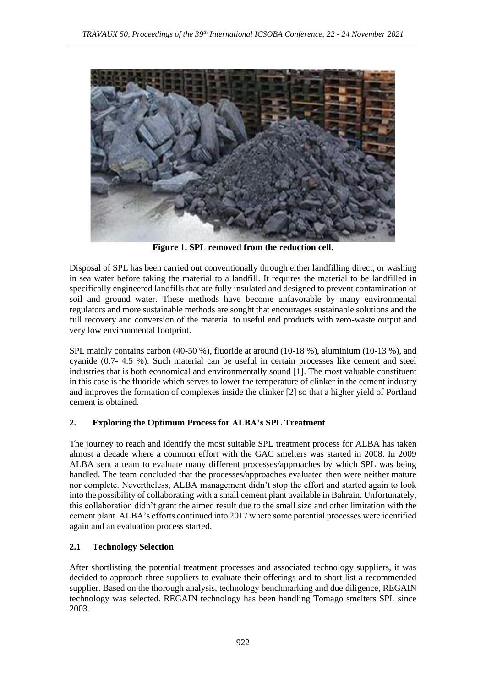

**Figure 1. SPL removed from the reduction cell.**

Disposal of SPL has been carried out conventionally through either landfilling direct, or washing in sea water before taking the material to a landfill. It requires the material to be landfilled in specifically engineered landfills that are fully insulated and designed to prevent contamination of soil and ground water. These methods have become unfavorable by many environmental regulators and more sustainable methods are sought that encourages sustainable solutions and the full recovery and conversion of the material to useful end products with zero-waste output and very low environmental footprint.

SPL mainly contains carbon (40-50 %), fluoride at around (10-18 %), aluminium (10-13 %), and cyanide (0.7- 4.5 %). Such material can be useful in certain processes like cement and steel industries that is both economical and environmentally sound [1]. The most valuable constituent in this case is the fluoride which serves to lower the temperature of clinker in the cement industry and improves the formation of complexes inside the clinker [2] so that a higher yield of Portland cement is obtained.

## **2. Exploring the Optimum Process for ALBA's SPL Treatment**

The journey to reach and identify the most suitable SPL treatment process for ALBA has taken almost a decade where a common effort with the GAC smelters was started in 2008. In 2009 ALBA sent a team to evaluate many different processes/approaches by which SPL was being handled. The team concluded that the processes/approaches evaluated then were neither mature nor complete. Nevertheless, ALBA management didn't stop the effort and started again to look into the possibility of collaborating with a small cement plant available in Bahrain. Unfortunately, this collaboration didn't grant the aimed result due to the small size and other limitation with the cement plant. ALBA's efforts continued into 2017 where some potential processes were identified again and an evaluation process started.

### **2.1 Technology Selection**

After shortlisting the potential treatment processes and associated technology suppliers, it was decided to approach three suppliers to evaluate their offerings and to short list a recommended supplier. Based on the thorough analysis, technology benchmarking and due diligence, REGAIN technology was selected. REGAIN technology has been handling Tomago smelters SPL since 2003.